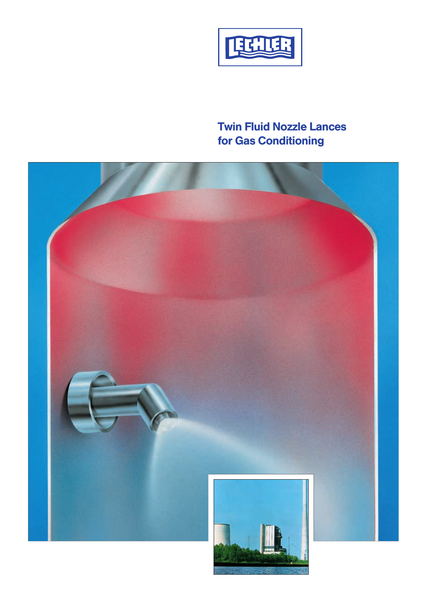

# Twin Fluid Nozzle Lances for Gas Conditioning

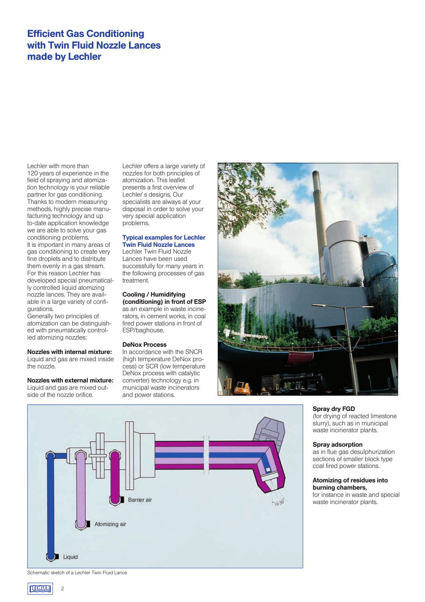# Efficient Gas Conditioning with Twin Fluid Nozzle Lances made by Lechler

Lechler with more than 120 years of experience in the field of spraying and atomization technology is your reliable partner for gas conditioning. Thanks to modern measuring methods, highly precise manufacturing technology and up to-date application knowledge we are able to solve your gas conditioning problems. It is important in many areas of gas conditioning to create very fine droplets and to distribute them evenly in a gas stream. For this reason Lechler has developed special pneumatically controlled liquid atomizing nozzle lances. They are available in a large variety of configurations.

Generally two principles of atomization can be distinguished with pneumatically controlled atomizing nozzles:

# Nozzles with internal mixture:

Liquid and gas are mixed inside the nozzle.

Nozzles with external mixture: Liquid and gas are mixed outside of the nozzle orifice.

Lechler offers a large variety of nozzles for both principles of atomization. This leaflet presents a first overview of Lechler`s designs. Our specialists are always at your disposal in order to solve your very special application problems.

# Typical examples for Lechler Twin Fluid Nozzle Lances

Lechler Twin Fluid Nozzle Lances have been used successfully for many years in the following processes of gas treatment.

# Cooling / Humidifying

(conditioning) in front of ESP as an example in waste incinerators, in cement works, in coal fired power stations in front of ESP/baghouse.

### DeNox Process

In accordance with the SNCR (high temperature DeNox process) or SCR (low temperature DeNox process with catalytic converter) technology e.g. in municipal waste incinerators and power stations.





# Spray dry FGD

(for drying of reacted limestone slurry), such as in municipal waste incinerator plants.

## Spray adsorption

as in flue gas desulphurization sections of smaller block type coal fired power stations.

# Atomizing of residues into burning chambers,

for instance in waste and special waste incinerator plants.

Schematic sketch of a Lechler Twin Fluid Lance

 $\overline{2}$ 

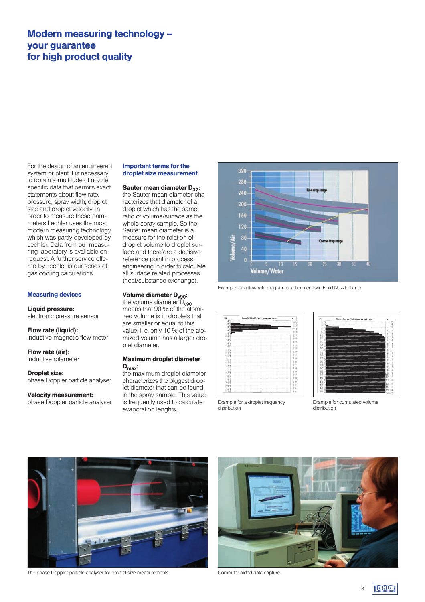# Modern measuring technology – your guarantee for high product quality

For the design of an engineered system or plant it is necessary to obtain a multitude of nozzle specific data that permits exact statements about flow rate, pressure, spray width, droplet size and droplet velocity. In order to measure these parameters Lechler uses the most modern measuring technology which was partly developed by Lechler. Data from our measuring laboratory is available on request. A further service offered by Lechler is our series of gas cooling calculations.

### Measuring devices

### Liquid pressure:

electronic pressure sensor

Flow rate (liquid): inductive magnetic flow meter

Flow rate (air): inductive rotameter

Droplet size: phase Doppler particle analyser

### Velocity measurement: phase Doppler particle analyser

# Important terms for the droplet size measurement

# Sauter mean diameter  $D_{32}$ :

the Sauter mean diameter characterizes that diameter of a droplet which has the same ratio of volume/surface as the whole spray sample. So the Sauter mean diameter is a measure for the relation of droplet volume to droplet surface and therefore a decisive reference point in process engineering in order to calculate all surface related processes (heat/substance exchange).

# Volume diameter D<sub>v90</sub>:

the volume diameter  $\bar{D}_{\nu 90}$ means that 90 % of the atomized volume is in droplets that are smaller or equal to this value, i. e. only 10 % of the atomized volume has a larger droplet diameter.

# Maximum droplet diameter  $D_{\text{max}}$ :

the maximum droplet diameter characterizes the biggest droplet diameter that can be found in the spray sample. This value is frequently used to calculate evaporation lenghts.







Example for a droplet frequency distribution



Example for cumulated volume distribution



The phase Doppler particle analyser for droplet size measurements Computer aided data capture



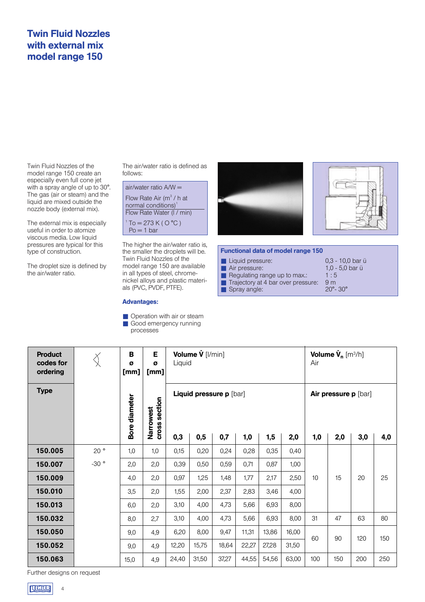# Twin Fluid Nozzles with external mix model range 150

Twin Fluid Nozzles of the model range 150 create an especially even full cone jet with a spray angle of up to 30°. The gas (air or steam) and the liquid are mixed outside the nozzle body (external mix).

The external mix is especially useful in order to atomize viscous media. Low liquid pressures are typical for this type of construction.

The droplet size is defined by the air/water ratio.

Product

The air/water ratio is defined as follows:



the smaller the droplets will be. model range 150 are available in all types of steel, chromenickel alloys and plastic materials (PVC, PVDF, PTFE).

# Advantages:

B

■ Operation with air or steam Good emergency running processes

E





### Functional data of model range 150

■ Liquid pressure: 0,3 - 10,0 bar ü<br>■ Air pressure: 10 - 50 bar ü Air pressure:  $1,0 - 5,0$  bar ü<br>Requlating range up to max:  $1:5$ ■ Regulating range up to max.:

■ Spray angle:

- 
- Trajectory at 4 bar over pressure: 9 m<br>■ Spray angle: 20°- 30°
- Volume  $\dot{\mathsf{V}}_{\mathsf{n}}$  [m $^3$ /h]  $\bigotimes$ codes for ø ø Liquid Air ordering [mm] [mm] Type Liquid pressure p [bar] Air pressure p [bar] Narrowest<br>cross section Bore diameter Bore diameter cross section Narrowest 0,3 | 0,5 | 0,7 | 1,0 | 1,5 | 2,0 | 1,0 | 2,0 | 3,0 | 4,0 150.005 1,0 20 ° | 1,0 | 1,0 | 0,15 | 0,20 | 0,24 | 0,28 | 0,35 | 0,40 150.007  $-30$   $\circ$  $2,0$  2,0  $0,39$  |  $0,50$  |  $0,59$  |  $0,71$  |  $0,87$  | 1,00 150.009 4.0 | 2.0  $0,97$  | 1,25 | 1,48 | 1,77 | 2,17 | 2,50 10 | 15 | 20 | 25 150.010  $3,5$  2,0 1,55 2,00 2,37 2,83 3,46 4,00 150.013 6.0  $\vert$  2.0  $3,10$  4,00 4,73 5,66 6,93 8,00 150.032 8,0 2,7  $3,10$  4,00 4,73 5,66 6,93 8,00 31 | 47 | 63 | 80 150.050  $6,20$  8,00 9,47 11,31 13,86 16,00 9,0 4,9 60 90 120 150 150.052 12,20 15,75 18,64 22,27 27,28 31,50  $9.0 \quad 4.9$ 24,40 31,50 37,27 44,55 54,56 63,00 100 150 200 250 150.063  $15.0$  4.9 Further designs on request

Volume V [l/min]



4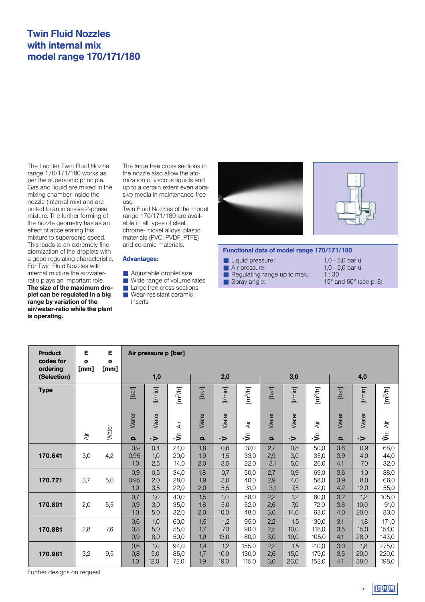# Twin Fluid Nozzles with internal mix model range 170/171/180

The Lechler Twin Fluid Nozzle range 170/171/180 works as per the supersonic principle. Gas and liquid are mixed in the mixing chamber inside the nozzle (internal mix) and are united to an intensive 2-phase mixture. The further forming of the nozzle geometry has as an effect of accelerating this mixture to supersonic speed. This leads to an extremely fine atomization of the droplets with a good regulating characteristic. For Twin Fluid Nozzles with internal mixture the air/waterratio plays an important role. The size of the maximum droplet can be regulated in a big range by variation of the

is operating.

air/water-ratio while the plant

The large free cross sections in the nozzle also allow the atomization of viscous liquids and up to a certain extent even abrasive media in maintenance-free use.

Twin Fluid Nozzles of the model range 170/171/180 are available in all types of steel, chrome- nickel alloys, plastic materials (PVC, PVDF, PTFE) and ceramic materials.

# Advantages:

- Adjustable droplet size
- Wide range of volume rates
- Large free cross sections
- Wear-resistant ceramic

inserts





### Functional data of model range 170/171/180

| 1.0 - 5.0 bar ü                            |
|--------------------------------------------|
| 1.0 - 5.0 bar ü                            |
| 1:30                                       |
| 15 $^{\circ}$ and 60 $^{\circ}$ (see p. 8) |
|                                            |

| <b>Product</b><br>codes for<br>ordering | Е<br>Ø<br>[mm] | Е<br>Ø<br>[mm] |                    | Air pressure p [bar] |                      |                   |                     |                         |                   |                     |                         |                   |                     |                         |
|-----------------------------------------|----------------|----------------|--------------------|----------------------|----------------------|-------------------|---------------------|-------------------------|-------------------|---------------------|-------------------------|-------------------|---------------------|-------------------------|
| (Selection)                             |                |                |                    | 1,0                  |                      |                   | 2,0                 |                         |                   | 3,0                 |                         |                   | 4,0                 |                         |
| <b>Type</b>                             |                |                | [bar]              | [l/min]              | [m <sup>3</sup> /h]  | [bar]             | [l/min]             | $\left[m^3/h\right]$    | [bar]             | [l/min]             | $\left[m^3/h\right]$    | [bar]             | [I/min]             | $\rm [m^3\!/\!n]$       |
|                                         |                | Water          | Water              | Water                | Äř                   | Water             | Water               | $\dot{\overline{A}}$    | Water             | Water               | $\dot{\overline{A}}$    | Water             | Water               | $\dot{\overline{A}}$    |
|                                         | $\dot{A}$ ir   |                | $\Omega$           | $\rightarrow$        | €.                   | $\Omega$          | $\rightarrow$       | €.                      | $\Omega$          | $\rightarrow$       | ءِ.                     | $\Omega$          | $\rightarrow$       | ۱Ś                      |
| 170.641                                 | 3,0            | 4,2            | 0,9<br>0,95<br>1,0 | 0,4<br>1,0<br>2,5    | 24,0<br>20,0<br>14,0 | 1,8<br>1,9<br>2,0 | 0,6<br>1,5<br>3,5   | 37,0<br>33,0<br>22,0    | 2,7<br>2,9<br>3,1 | 0,8<br>3,0<br>5,0   | 50,0<br>35,0<br>26,0    | 3,6<br>3,9<br>4,1 | 0,9<br>4,0<br>7,0   | 68,0<br>44,0<br>32,0    |
| 170.721                                 | 3,7            | 5,0            | 0,9<br>0,95<br>1,0 | 0,5<br>2,0<br>3,5    | 34,0<br>28,0<br>22,0 | 1,8<br>1,9<br>2,0 | 0,7<br>3,0<br>5,5   | 50,0<br>40,0<br>31,0    | 2,7<br>2,9<br>3,1 | 0,9<br>4,0<br>7,5   | 69,0<br>58,0<br>42,0    | 3,6<br>3,9<br>4,2 | 1,0<br>8,0<br>12,0  | 88,0<br>66,0<br>55,0    |
| 170.801                                 | 2,0            | 5,5            | 0,7<br>0,9<br>1,0  | 1,0<br>3,0<br>5,0    | 40,0<br>35,0<br>32,0 | 1,5<br>1,8<br>2,0 | 1,0<br>5,0<br>10,0  | 58,0<br>52,0<br>48,0    | 2,2<br>2,6<br>3,0 | 1,2<br>7,0<br>14,0  | 80,0<br>72,0<br>63,0    | 3,2<br>3,6<br>4,0 | 1,2<br>10,0<br>20,0 | 105,0<br>91,0<br>83,0   |
| 170.881                                 | 2,8            | 7,6            | 0,6<br>0,8<br>0,9  | 1,0<br>5,0<br>8,0    | 60,0<br>55,0<br>50,0 | 1,5<br>1,7<br>1,9 | 1,2<br>7,0<br>13,0  | 95,0<br>90,0<br>80,0    | 2,2<br>2,5<br>3,0 | 1,5<br>10,0<br>19,0 | 130,0<br>118,0<br>105,0 | 3,1<br>3,5<br>4,1 | 1,8<br>15,0<br>28,0 | 171,0<br>154,0<br>143,0 |
| 170.961                                 | 3,2            | 9,5            | 0,6<br>0,8<br>1,0  | 1,0<br>5,0<br>12,0   | 94,0<br>85,0<br>72,0 | 1,4<br>1,7<br>1,9 | 1,2<br>10,0<br>19,0 | 155,0<br>130,0<br>115,0 | 2,2<br>2,6<br>3,0 | 1,5<br>15,0<br>26,0 | 210,0<br>179,0<br>152,0 | 3,0<br>3,5<br>4,1 | 1,8<br>20,0<br>38,0 | 275,0<br>220,0<br>198,0 |

Further designs on request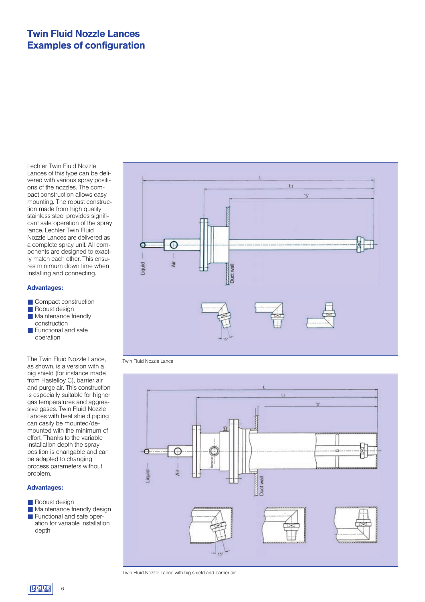# Twin Fluid Nozzle Lances Examples of configuration

Lechler Twin Fluid Nozzle Lances of this type can be delivered with various spray positions of the nozzles. The compact construction allows easy mounting. The robust construction made from high quality stainless steel provides significant safe operation of the spray lance. Lechler Twin Fluid Nozzle Lances are delivered as a complete spray unit. All components are designed to exactly match each other. This ensures minimum down time when installing and connecting.

# Advantages:

- Compact construction
- Robust design
- Maintenance friendly construction
- Functional and safe operation

The Twin Fluid Nozzle Lance, as shown, is a version with a big shield (for instance made from Hastelloy C), barrier air and purge air. This construction is especially suitable for higher gas temperatures and aggressive gases. Twin Fluid Nozzle Lances with heat shield piping can casily be mounted/demounted with the minimum of effort. Thanks to the variable installation depth the spray position is changable and can be adapted to changing process parameters without problem.

# Advantages:

- Robust design
- Maintenance friendly design ■ Functional and safe operation for variable installation depth



Twin Fluid Nozzle Lance



Twin Fluid Nozzle Lance with big shield and barrier air

6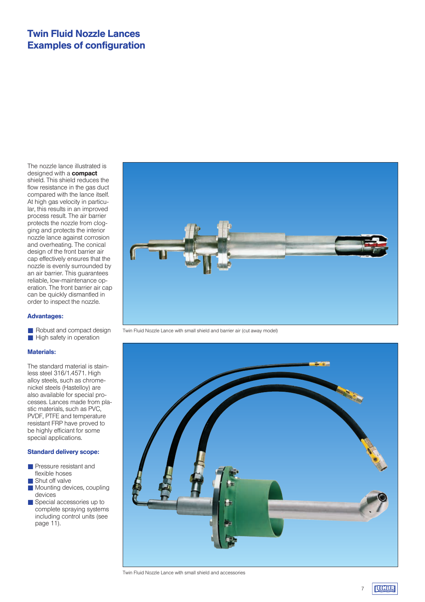# Twin Fluid Nozzle Lances Examples of configuration

The nozzle lance illustrated is designed with a **compact** shield. This shield reduces the flow resistance in the gas duct compared with the lance itself. At high gas velocity in particular, this results in an improved process result. The air barrier protects the nozzle from clogging and protects the interior nozzle lance against corrosion and overheating. The conical design of the front barrier air cap effectively ensures that the nozzle is evenly surrounded by an air barrier. This guarantees reliable, low-maintenance operation. The front barrier air cap can be quickly dismantled in order to inspect the nozzle.

### Advantages:

■ Robust and compact design ■ High safety in operation

### Materials:

The standard material is stainless steel 316/1.4571. High alloy steels, such as chromenickel steels (Hastelloy) are also available for special processes. Lances made from plastic materials, such as PVC, PVDF, PTFE and temperature resistant FRP have proved to be highly efficiant for some special applications.

# Standard delivery scope:

- Pressure resistant and flexible hoses
- Shut off valve
- Mounting devices, coupling devices
- Special accessories up to complete spraying systems including control units (see page 11).



Twin Fluid Nozzle Lance with small shield and barrier air (cut away model)



Twin Fluid Nozzle Lance with small shield and accessories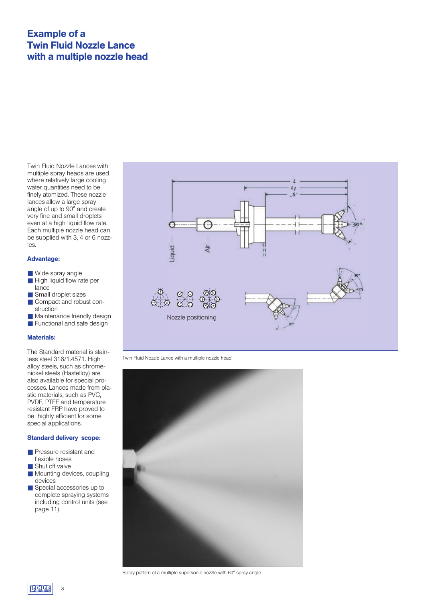# Example of a Twin Fluid Nozzle Lance with a multiple nozzle head

Twin Fluid Nozzle Lances with multiple spray heads are used where relatively large cooling water quantities need to be finely atomized. These nozzle lances allow a large spray angle of up to 90° and create very fine and small droplets even at a high liquid flow rate. Each multiple nozzle head can be supplied with 3, 4 or 6 nozzles.

# Advantage:

- Wide spray angle
- High liquid flow rate per lance
- Small droplet sizes
- Compact and robust construction
- Maintenance friendly design
- Functional and safe design

# Materials:

The Standard material is stainless steel 316/1.4571. High alloy steels, such as chromenickel steels (Hastelloy) are also available for special processes. Lances made from plastic materials, such as PVC, PVDF, PTFE and temperature resistant FRP have proved to be highly efficient for some special applications.

# Standard delivery scope:

- Pressure resistant and flexible hoses
- Shut off valve
- Mounting devices, coupling devices
- Special accessories up to complete spraying systems including control units (see page 11).



Twin Fluid Nozzle Lance with a multiple nozzle head



Spray pattern of a multiple supersonic nozzle with 60° spray angle

8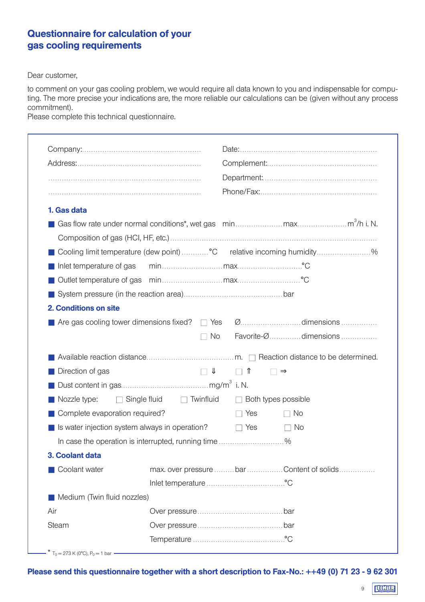# Questionnaire for calculation of your gas cooling requirements

Dear customer,

to comment on your gas cooling problem, we would require all data known to you and indispensable for computing. The more precise your indications are, the more reliable our calculations can be (given without any process commitment).

Please complete this technical questionnaire.

| 1. Gas data                                    |                                                     |                   |                                                                       |  |
|------------------------------------------------|-----------------------------------------------------|-------------------|-----------------------------------------------------------------------|--|
|                                                |                                                     |                   |                                                                       |  |
|                                                |                                                     |                   |                                                                       |  |
|                                                |                                                     |                   | Cooling limit temperature (dew point)  °C relative incoming humidity% |  |
| Inlet temperature of gas                       |                                                     |                   |                                                                       |  |
|                                                |                                                     |                   |                                                                       |  |
|                                                |                                                     |                   |                                                                       |  |
| 2. Conditions on site                          |                                                     |                   |                                                                       |  |
|                                                |                                                     |                   |                                                                       |  |
|                                                |                                                     |                   |                                                                       |  |
|                                                | $\Box$ No                                           |                   | Favorite-Ødimensions                                                  |  |
|                                                |                                                     |                   |                                                                       |  |
|                                                |                                                     |                   |                                                                       |  |
| Direction of gas                               | $\Box$                                              | $\Box$ $\Upsilon$ | $\square \Rightarrow$                                                 |  |
|                                                |                                                     |                   |                                                                       |  |
| Nozzle type:                                   | $\Box$ Single fluid $\Box$ Twinfluid                |                   | $\Box$ Both types possible                                            |  |
| Complete evaporation required?                 |                                                     | $\Box$ Yes        | $\Box$ No                                                             |  |
| Is water injection system always in operation? |                                                     | $\Box$ Yes        | $\Box$ No                                                             |  |
|                                                | In case the operation is interrupted, running time% |                   |                                                                       |  |
| 3. Coolant data                                |                                                     |                   |                                                                       |  |
| Coolant water                                  |                                                     |                   | max. over pressure bar Content of solids                              |  |
|                                                |                                                     |                   |                                                                       |  |
| Medium (Twin fluid nozzles)                    |                                                     |                   |                                                                       |  |
| Air<br>Steam                                   |                                                     |                   |                                                                       |  |

Please send this questionnaire together with a short description to Fax-No.: ++49 (0) 71 23 - 9 62 301

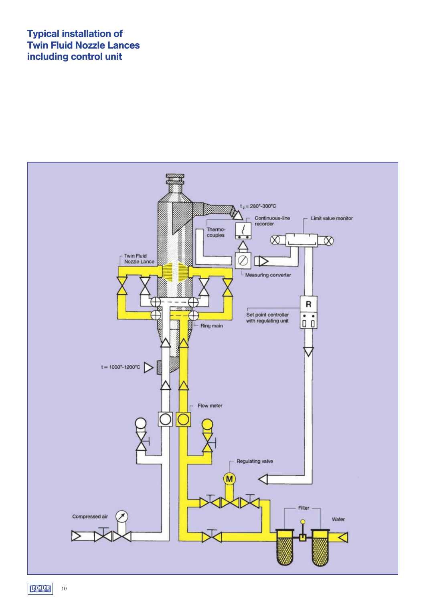# Typical installation of Twin Fluid Nozzle Lances including control unit



**ELHIER**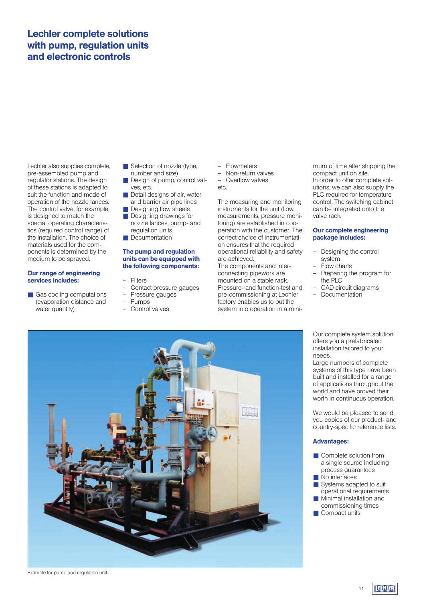# Lechler complete solutions with pump, regulation units and electronic controls

Lechler also supplies complete, pre-assembled pump and regulator stations. The design of these stations is adapted to suit the function and mode of operation of the nozzle lances. The control valve, for example, is designed to match the special operating characteristics (required control range) of the installation. The choice of materials used for the components is determined by the medium to be sprayed.

## Our range of engineering services includes:

■ Gas cooling computations (evaporation distance and water quantity)

- Selection of nozzle (type, number and size)
- Design of pump, control valves, etc.
- Detail designs of air, water and barrier air pipe lines
- Designing flow sheets ■ Designing drawings for
- nozzle lances, pump- and regulation units ■ Documentation

## The pump and regulation units can be equipped with the following components:

- **Filters**
- Contact pressure gauges<br>- Pressure gauges
- Pressure gauges
- Pumps
- Control valves
- Flowmeters
- Non-return valves
- Overflow valves  $\triangle$

The measuring and monitoring instruments for the unit (flow measurements, pressure monitoring) are established in cooperation with the customer. The correct choice of instrumentation ensures that the required operational reliability and safety are achieved.

The components and interconnecting pipework are mounted on a stable rack. Pressure- and function-test and pre-commissioning at Lechler factory enables us to put the system into operation in a minimum of time after shipping the compact unit on site. In order to offer complete solutions, we can also supply the PLC required for temperature control. The switching cabinet can be integrated onto the valve rack.

# Our complete engineering package includes:

- Designing the control system
- Flow charts
- Preparing the program for the PLC
- CAD circuit diagrams<br>– Documentation
- **Documentation**

Our complete system solution offers you a prefabricated installation tailored to your needs.

Large numbers of complete systems of this type have been built and installed for a range of applications throughout the world and have proved their worth in continuous operation.

We would be pleased to send you copies of our product- and country-specific reference lists.

# Advantages:

- Complete solution from a single source including process guarantees
- No interfaces
- Systems adapted to suit operational requirements
- Minimal installation and commissioning times
- Compact units

# 411

Example for pump and regulation unit